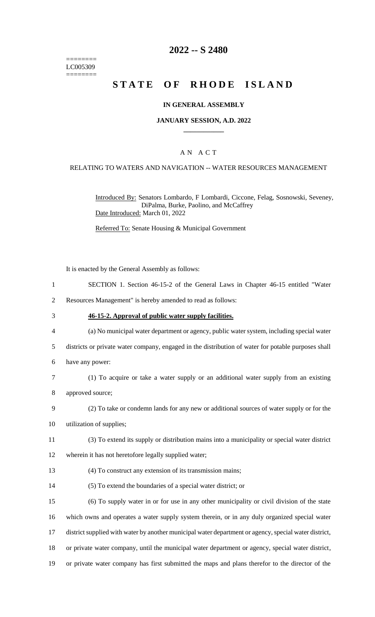======== LC005309 ========

### **2022 -- S 2480**

# **STATE OF RHODE ISLAND**

#### **IN GENERAL ASSEMBLY**

#### **JANUARY SESSION, A.D. 2022 \_\_\_\_\_\_\_\_\_\_\_\_**

### A N A C T

#### RELATING TO WATERS AND NAVIGATION -- WATER RESOURCES MANAGEMENT

Introduced By: Senators Lombardo, F Lombardi, Ciccone, Felag, Sosnowski, Seveney, DiPalma, Burke, Paolino, and McCaffrey Date Introduced: March 01, 2022

Referred To: Senate Housing & Municipal Government

It is enacted by the General Assembly as follows:

- 1 SECTION 1. Section 46-15-2 of the General Laws in Chapter 46-15 entitled "Water
- 2 Resources Management" is hereby amended to read as follows:
- 3 **46-15-2. Approval of public water supply facilities.**
- 4 (a) No municipal water department or agency, public water system, including special water
- 5 districts or private water company, engaged in the distribution of water for potable purposes shall
- 6 have any power:
- 7 (1) To acquire or take a water supply or an additional water supply from an existing
- 8 approved source;
- 9 (2) To take or condemn lands for any new or additional sources of water supply or for the
- 10 utilization of supplies;
- 11 (3) To extend its supply or distribution mains into a municipality or special water district
- 12 wherein it has not heretofore legally supplied water;
- 13 (4) To construct any extension of its transmission mains;
- 14 (5) To extend the boundaries of a special water district; or

 (6) To supply water in or for use in any other municipality or civil division of the state which owns and operates a water supply system therein, or in any duly organized special water district supplied with water by another municipal water department or agency, special water district, or private water company, until the municipal water department or agency, special water district, or private water company has first submitted the maps and plans therefor to the director of the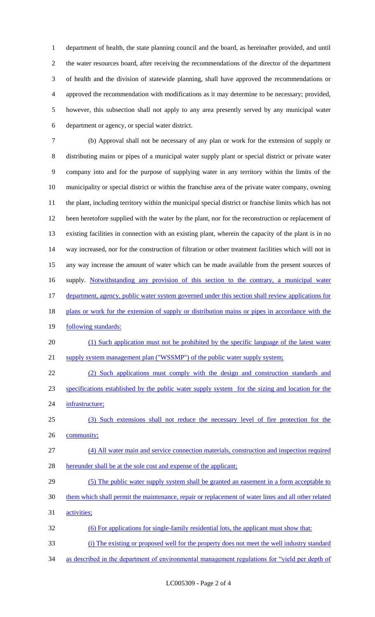department of health, the state planning council and the board, as hereinafter provided, and until the water resources board, after receiving the recommendations of the director of the department of health and the division of statewide planning, shall have approved the recommendations or approved the recommendation with modifications as it may determine to be necessary; provided, however, this subsection shall not apply to any area presently served by any municipal water department or agency, or special water district.

 (b) Approval shall not be necessary of any plan or work for the extension of supply or distributing mains or pipes of a municipal water supply plant or special district or private water company into and for the purpose of supplying water in any territory within the limits of the municipality or special district or within the franchise area of the private water company, owning the plant, including territory within the municipal special district or franchise limits which has not been heretofore supplied with the water by the plant, nor for the reconstruction or replacement of existing facilities in connection with an existing plant, wherein the capacity of the plant is in no way increased, nor for the construction of filtration or other treatment facilities which will not in any way increase the amount of water which can be made available from the present sources of 16 supply. Notwithstanding any provision of this section to the contrary, a municipal water 17 department, agency, public water system governed under this section shall review applications for 18 plans or work for the extension of supply or distribution mains or pipes in accordance with the 19 following standards:

20 (1) Such application must not be prohibited by the specific language of the latest water 21 supply system management plan ("WSSMP") of the public water supply system;

 (2) Such applications must comply with the design and construction standards and specifications established by the public water supply system for the sizing and location for the infrastructure;

 (3) Such extensions shall not reduce the necessary level of fire protection for the 26 community;

 (4) All water main and service connection materials, construction and inspection required hereunder shall be at the sole cost and expense of the applicant;

29 (5) The public water supply system shall be granted an easement in a form acceptable to them which shall permit the maintenance, repair or replacement of water lines and all other related

activities;

(6) For applications for single-family residential lots, the applicant must show that:

(i) The existing or proposed well for the property does not meet the well industry standard

34 as described in the department of environmental management regulations for "yield per depth of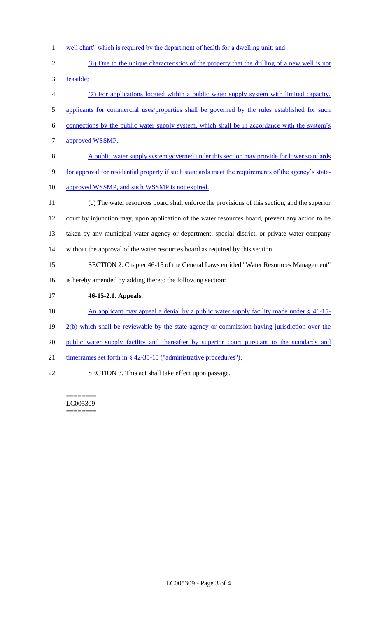- 1 well chart" which is required by the department of health for a dwelling unit; and
- 2 (ii) Due to the unique characteristics of the property that the drilling of a new well is not 3 feasible;

 (7) For applications located within a public water supply system with limited capacity, 5 applicants for commercial uses/properties shall be governed by the rules established for such connections by the public water supply system, which shall be in accordance with the system's approved WSSMP. A public water supply system governed under this section may provide for lower standards for approval for residential property if such standards meet the requirements of the agency's state-10 approved WSSMP, and such WSSMP is not expired. (c) The water resources board shall enforce the provisions of this section, and the superior court by injunction may, upon application of the water resources board, prevent any action to be taken by any municipal water agency or department, special district, or private water company without the approval of the water resources board as required by this section. SECTION 2. Chapter 46-15 of the General Laws entitled "Water Resources Management" is hereby amended by adding thereto the following section: **46-15-2.1. Appeals.** 

- 18 An applicant may appeal a denial by a public water supply facility made under § 46-15-
- 19  $2(b)$  which shall be reviewable by the state agency or commission having jurisdiction over the
- 20 public water supply facility and thereafter by superior court pursuant to the standards and
- 21 timeframes set forth in § 42-35-15 ("administrative procedures").
- 22 SECTION 3. This act shall take effect upon passage.

======== LC005309 ========